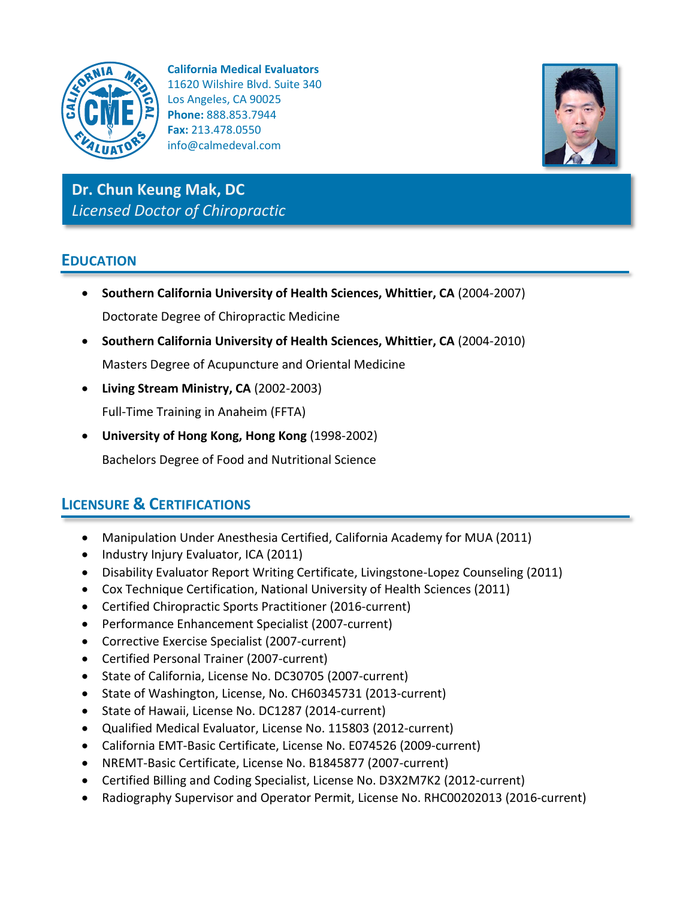

**California Medical Evaluators** 11620 Wilshire Blvd. Suite 340 Los Angeles, CA 90025 **Phone:** 888.853.7944 **Fax:** 213.478.0550 info@calmedeval.com



**Dr. Chun Keung Mak, DC** *Licensed Doctor of Chiropractic*

## **EDUCATION**

- **Southern California University of Health Sciences, Whittier, CA** (2004-2007) Doctorate Degree of Chiropractic Medicine
- **Southern California University of Health Sciences, Whittier, CA** (2004-2010) Masters Degree of Acupuncture and Oriental Medicine
- **Living Stream Ministry, CA** (2002-2003) Full-Time Training in Anaheim (FFTA)
- **University of Hong Kong, Hong Kong** (1998-2002) Bachelors Degree of Food and Nutritional Science

# **LICENSURE & CERTIFICATIONS**

- Manipulation Under Anesthesia Certified, California Academy for MUA (2011)
- Industry Injury Evaluator, ICA (2011)
- Disability Evaluator Report Writing Certificate, Livingstone-Lopez Counseling (2011)
- Cox Technique Certification, National University of Health Sciences (2011)
- Certified Chiropractic Sports Practitioner (2016-current)
- Performance Enhancement Specialist (2007-current)
- Corrective Exercise Specialist (2007-current)
- Certified Personal Trainer (2007-current)
- State of California, License No. DC30705 (2007-current)
- State of Washington, License, No. CH60345731 (2013-current)
- State of Hawaii, License No. DC1287 (2014-current)
- Qualified Medical Evaluator, License No. 115803 (2012-current)
- California EMT-Basic Certificate, License No. E074526 (2009-current)
- NREMT-Basic Certificate, License No. B1845877 (2007-current)
- Certified Billing and Coding Specialist, License No. D3X2M7K2 (2012-current)
- Radiography Supervisor and Operator Permit, License No. RHC00202013 (2016-current)